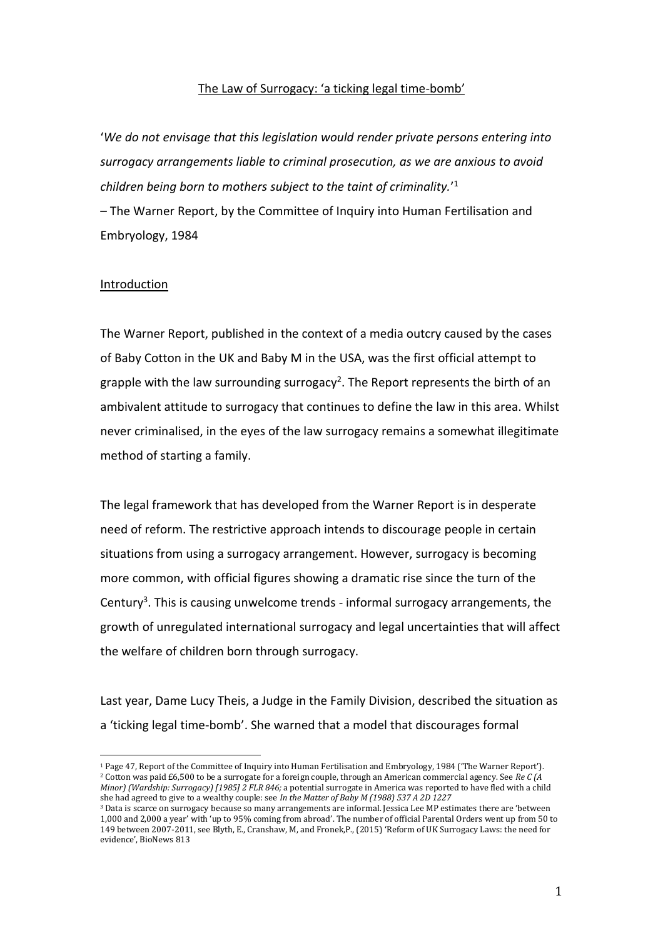## The Law of Surrogacy: 'a ticking legal time-bomb'

'*We do not envisage that this legislation would render private persons entering into surrogacy arrangements liable to criminal prosecution, as we are anxious to avoid children being born to mothers subject to the taint of criminality.*' 1 – The Warner Report, by the Committee of Inquiry into Human Fertilisation and Embryology, 1984

#### Introduction

The Warner Report, published in the context of a media outcry caused by the cases of Baby Cotton in the UK and Baby M in the USA, was the first official attempt to grapple with the law surrounding surrogacy<sup>2</sup>. The Report represents the birth of an ambivalent attitude to surrogacy that continues to define the law in this area. Whilst never criminalised, in the eyes of the law surrogacy remains a somewhat illegitimate method of starting a family.

The legal framework that has developed from the Warner Report is in desperate need of reform. The restrictive approach intends to discourage people in certain situations from using a surrogacy arrangement. However, surrogacy is becoming more common, with official figures showing a dramatic rise since the turn of the Century<sup>3</sup>. This is causing unwelcome trends - informal surrogacy arrangements, the growth of unregulated international surrogacy and legal uncertainties that will affect the welfare of children born through surrogacy.

Last year, Dame Lucy Theis, a Judge in the Family Division, described the situation as a 'ticking legal time-bomb'. She warned that a model that discourages formal

<sup>1</sup> Page 47, Report of the Committee of Inquiry into Human Fertilisation and Embryology, 1984 ('The Warner Report'). <sup>2</sup> Cotton was paid £6,500 to be a surrogate for a foreign couple, through an American commercial agency. See *Re C (A Minor) (Wardship: Surrogacy) [1985] 2 FLR 846;* a potential surrogate in America was reported to have fled with a child she had agreed to give to a wealthy couple: see *In the Matter of Baby M (1988) 537 A 2D 1227*

<sup>&</sup>lt;sup>3</sup> Data is scarce on surrogacy because so many arrangements are informal. Jessica Lee MP estimates there are 'between 1,000 and 2,000 a year' with 'up to 95% coming from abroad'. The number of official Parental Orders went up from 50 to 149 between 2007-2011, see Blyth, E., Cranshaw, M, and Fronek,P., (2015) 'Reform of UK Surrogacy Laws: the need for evidence', BioNews 813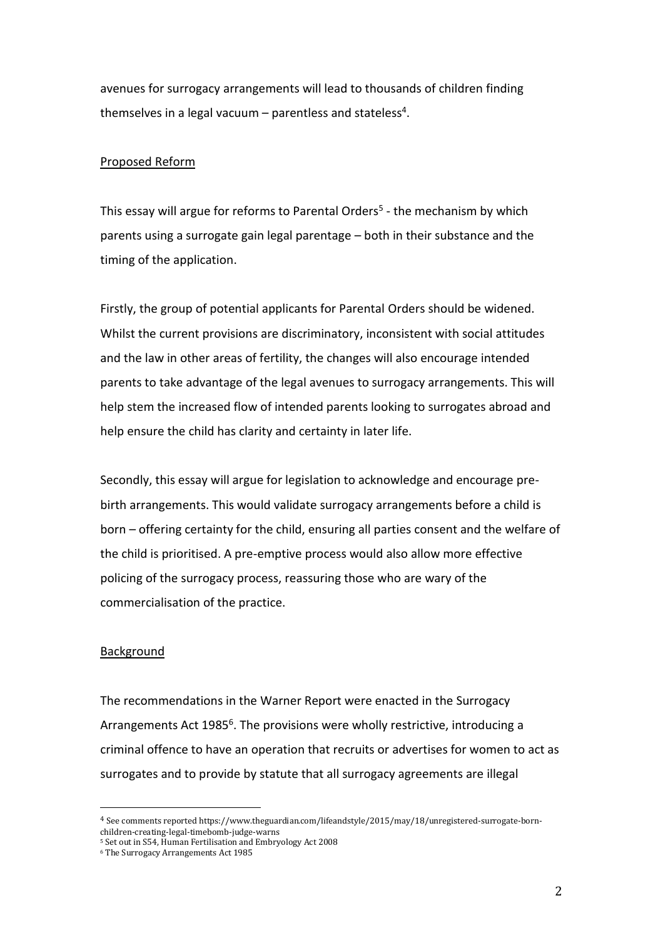avenues for surrogacy arrangements will lead to thousands of children finding themselves in a legal vacuum – parentless and stateless<sup>4</sup>.

# Proposed Reform

This essay will argue for reforms to Parental Orders<sup>5</sup> - the mechanism by which parents using a surrogate gain legal parentage – both in their substance and the timing of the application.

Firstly, the group of potential applicants for Parental Orders should be widened. Whilst the current provisions are discriminatory, inconsistent with social attitudes and the law in other areas of fertility, the changes will also encourage intended parents to take advantage of the legal avenues to surrogacy arrangements. This will help stem the increased flow of intended parents looking to surrogates abroad and help ensure the child has clarity and certainty in later life.

Secondly, this essay will argue for legislation to acknowledge and encourage prebirth arrangements. This would validate surrogacy arrangements before a child is born – offering certainty for the child, ensuring all parties consent and the welfare of the child is prioritised. A pre-emptive process would also allow more effective policing of the surrogacy process, reassuring those who are wary of the commercialisation of the practice.

## Background

The recommendations in the Warner Report were enacted in the Surrogacy Arrangements Act 1985<sup>6</sup>. The provisions were wholly restrictive, introducing a criminal offence to have an operation that recruits or advertises for women to act as surrogates and to provide by statute that all surrogacy agreements are illegal

<sup>4</sup> See comments reported https://www.theguardian.com/lifeandstyle/2015/may/18/unregistered-surrogate-bornchildren-creating-legal-timebomb-judge-warns

<sup>5</sup> Set out in S54, Human Fertilisation and Embryology Act 2008

<sup>6</sup> The Surrogacy Arrangements Act 1985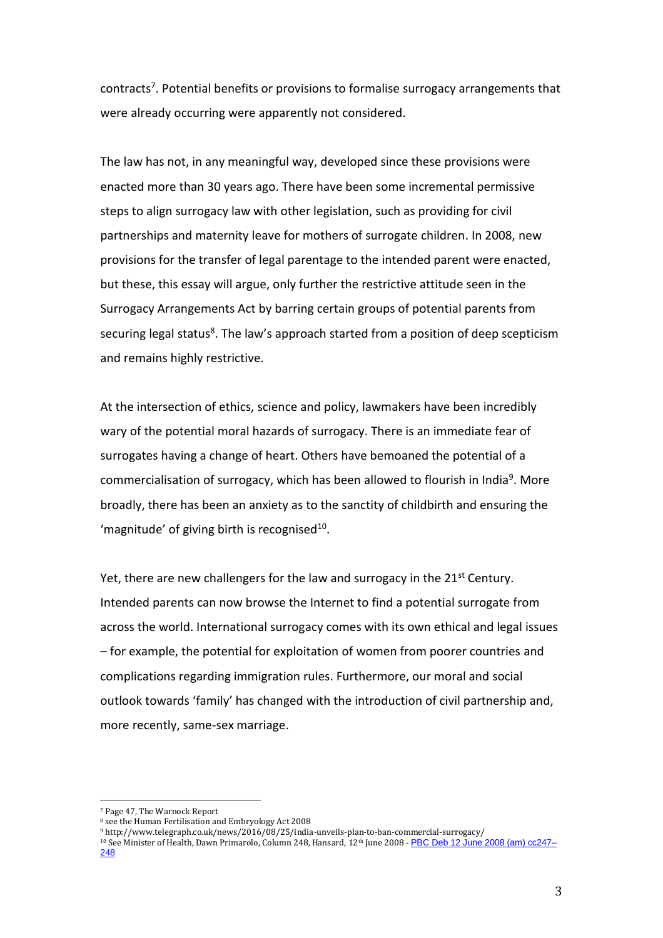contracts<sup>7</sup>. Potential benefits or provisions to formalise surrogacy arrangements that were already occurring were apparently not considered.

The law has not, in any meaningful way, developed since these provisions were enacted more than 30 years ago. There have been some incremental permissive steps to align surrogacy law with other legislation, such as providing for civil partnerships and maternity leave for mothers of surrogate children. In 2008, new provisions for the transfer of legal parentage to the intended parent were enacted, but these, this essay will argue, only further the restrictive attitude seen in the Surrogacy Arrangements Act by barring certain groups of potential parents from securing legal status<sup>8</sup>. The law's approach started from a position of deep scepticism and remains highly restrictive.

At the intersection of ethics, science and policy, lawmakers have been incredibly wary of the potential moral hazards of surrogacy. There is an immediate fear of surrogates having a change of heart. Others have bemoaned the potential of a commercialisation of surrogacy, which has been allowed to flourish in India<sup>9</sup>. More broadly, there has been an anxiety as to the sanctity of childbirth and ensuring the 'magnitude' of giving birth is recognised $^{10}$ .

Yet, there are new challengers for the law and surrogacy in the 21<sup>st</sup> Century. Intended parents can now browse the Internet to find a potential surrogate from across the world. International surrogacy comes with its own ethical and legal issues – for example, the potential for exploitation of women from poorer countries and complications regarding immigration rules. Furthermore, our moral and social outlook towards 'family' has changed with the introduction of civil partnership and, more recently, same-sex marriage.

<sup>7</sup> Page 47, The Warnock Report

<sup>8</sup> see the Human Fertilisation and Embryology Act 2008

<sup>9</sup> http://www.telegraph.co.uk/news/2016/08/25/india-unveils-plan-to-ban-commercial-surrogacy/

<sup>&</sup>lt;sup>10</sup> See Minister of Health, Dawn Primarolo, Column 248, Hansard, 12<sup>th</sup> June 2008 - <mark>[PBC Deb 12 June 2008 \(am\) cc247–](http://www.publications.parliament.uk/pa/cm200708/cmpublic/human/080612/am/80612s02.htm)</mark> [248](http://www.publications.parliament.uk/pa/cm200708/cmpublic/human/080612/am/80612s02.htm)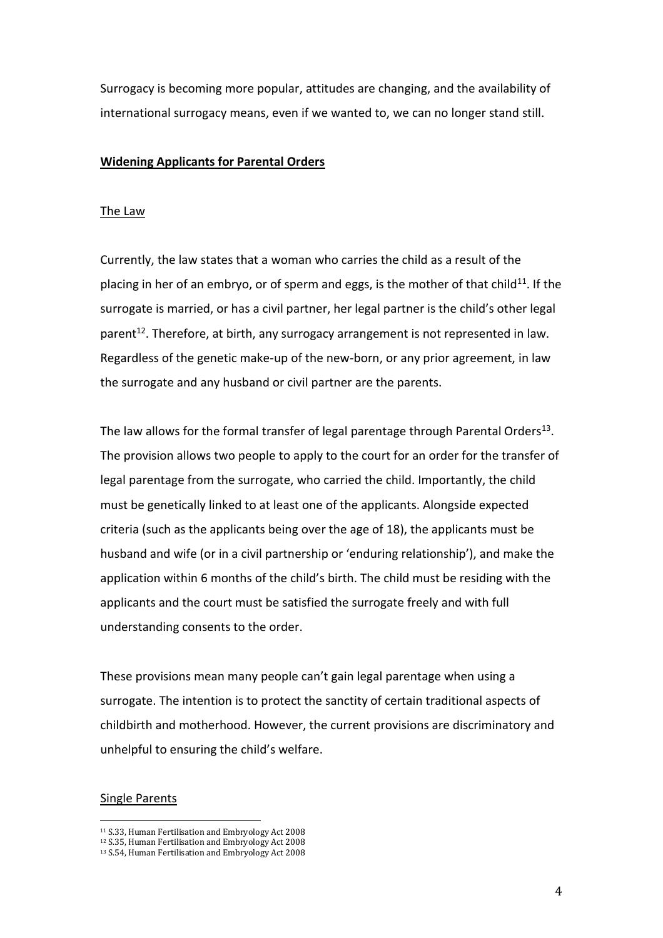Surrogacy is becoming more popular, attitudes are changing, and the availability of international surrogacy means, even if we wanted to, we can no longer stand still.

## **Widening Applicants for Parental Orders**

#### The Law

Currently, the law states that a woman who carries the child as a result of the placing in her of an embryo, or of sperm and eggs, is the mother of that child<sup>11</sup>. If the surrogate is married, or has a civil partner, her legal partner is the child's other legal parent<sup>12</sup>. Therefore, at birth, any surrogacy arrangement is not represented in law. Regardless of the genetic make-up of the new-born, or any prior agreement, in law the surrogate and any husband or civil partner are the parents.

The law allows for the formal transfer of legal parentage through Parental Orders<sup>13</sup>. The provision allows two people to apply to the court for an order for the transfer of legal parentage from the surrogate, who carried the child. Importantly, the child must be genetically linked to at least one of the applicants. Alongside expected criteria (such as the applicants being over the age of 18), the applicants must be husband and wife (or in a civil partnership or 'enduring relationship'), and make the application within 6 months of the child's birth. The child must be residing with the applicants and the court must be satisfied the surrogate freely and with full understanding consents to the order.

These provisions mean many people can't gain legal parentage when using a surrogate. The intention is to protect the sanctity of certain traditional aspects of childbirth and motherhood. However, the current provisions are discriminatory and unhelpful to ensuring the child's welfare.

## Single Parents

<sup>11</sup> S.33, Human Fertilisation and Embryology Act 2008

<sup>12</sup> S.35, Human Fertilisation and Embryology Act 2008

<sup>13</sup> S.54, Human Fertilisation and Embryology Act 2008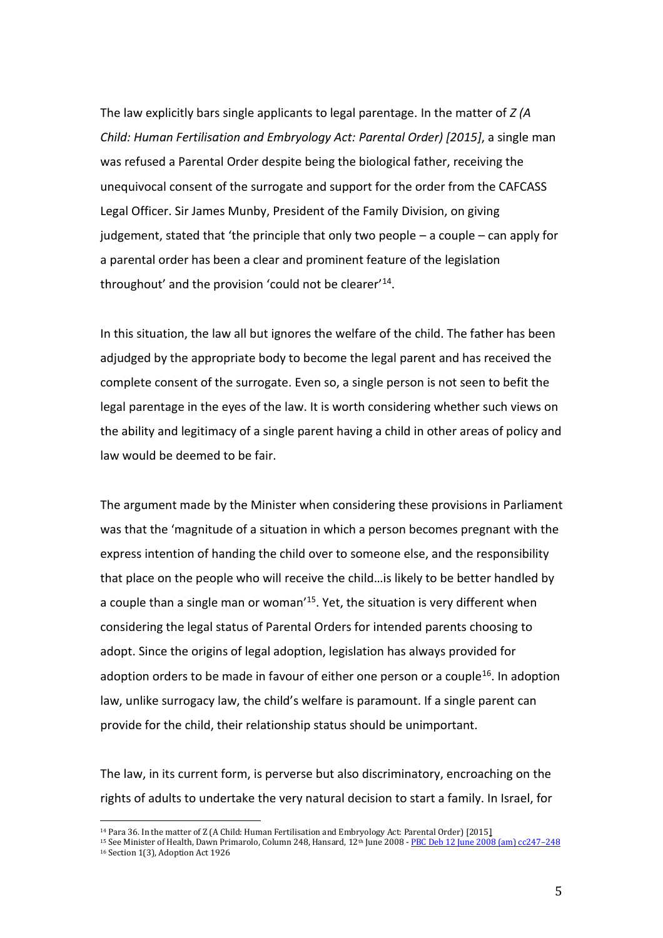The law explicitly bars single applicants to legal parentage. In the matter of *Z (A Child: Human Fertilisation and Embryology Act: Parental Order) [2015]*, a single man was refused a Parental Order despite being the biological father, receiving the unequivocal consent of the surrogate and support for the order from the CAFCASS Legal Officer. Sir James Munby, President of the Family Division, on giving judgement, stated that 'the principle that only two people – a couple – can apply for a parental order has been a clear and prominent feature of the legislation throughout' and the provision 'could not be clearer'<sup>14</sup> .

In this situation, the law all but ignores the welfare of the child. The father has been adjudged by the appropriate body to become the legal parent and has received the complete consent of the surrogate. Even so, a single person is not seen to befit the legal parentage in the eyes of the law. It is worth considering whether such views on the ability and legitimacy of a single parent having a child in other areas of policy and law would be deemed to be fair.

The argument made by the Minister when considering these provisions in Parliament was that the 'magnitude of a situation in which a person becomes pregnant with the express intention of handing the child over to someone else, and the responsibility that place on the people who will receive the child…is likely to be better handled by a couple than a single man or woman<sup>'15</sup>. Yet, the situation is very different when considering the legal status of Parental Orders for intended parents choosing to adopt. Since the origins of legal adoption, legislation has always provided for adoption orders to be made in favour of either one person or a couple<sup>16</sup>. In adoption law, unlike surrogacy law, the child's welfare is paramount. If a single parent can provide for the child, their relationship status should be unimportant.

The law, in its current form, is perverse but also discriminatory, encroaching on the rights of adults to undertake the very natural decision to start a family. In Israel, for

<sup>14</sup> Para 36. In the matter of Z (A Child: Human Fertilisation and Embryology Act: Parental Order) [2015]

<sup>&</sup>lt;sup>15</sup> See Minister of Health, Dawn Primarolo, Column 248, Hansard, 12<sup>th</sup> June 2008 - [PBC Deb 12 June 2008 \(am\) cc247](http://www.publications.parliament.uk/pa/cm200708/cmpublic/human/080612/am/80612s02.htm)-248 <sup>16</sup> Section 1(3), Adoption Act 1926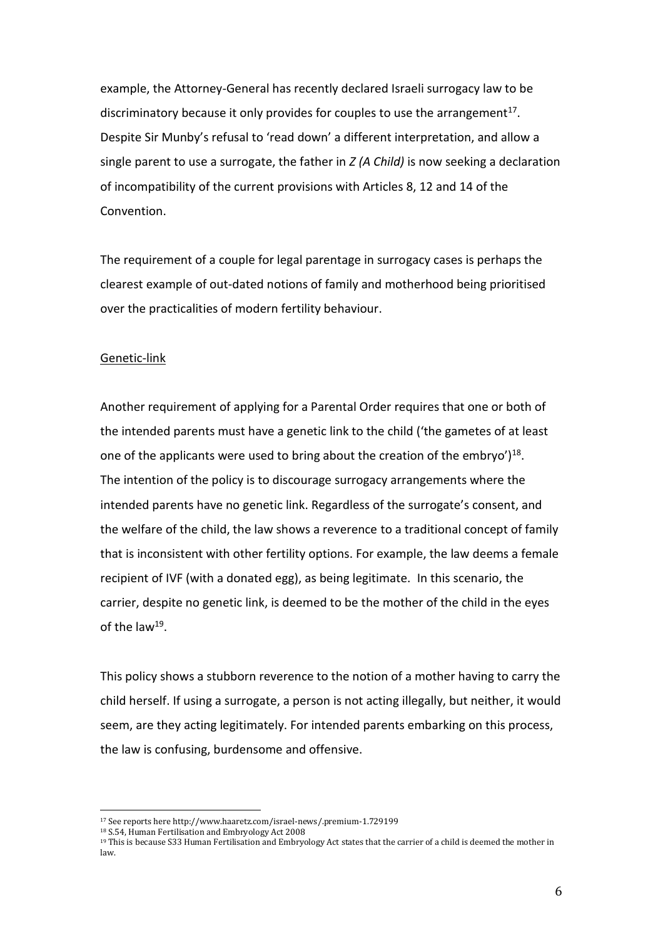example, the Attorney-General has recently declared Israeli surrogacy law to be discriminatory because it only provides for couples to use the arrangement<sup>17</sup>. Despite Sir Munby's refusal to 'read down' a different interpretation, and allow a single parent to use a surrogate, the father in *Z (A Child)* is now seeking a declaration of incompatibility of the current provisions with Articles 8, 12 and 14 of the Convention.

The requirement of a couple for legal parentage in surrogacy cases is perhaps the clearest example of out-dated notions of family and motherhood being prioritised over the practicalities of modern fertility behaviour.

# Genetic-link

Another requirement of applying for a Parental Order requires that one or both of the intended parents must have a genetic link to the child ('the gametes of at least one of the applicants were used to bring about the creation of the embryo')<sup>18</sup>. The intention of the policy is to discourage surrogacy arrangements where the intended parents have no genetic link. Regardless of the surrogate's consent, and the welfare of the child, the law shows a reverence to a traditional concept of family that is inconsistent with other fertility options. For example, the law deems a female recipient of IVF (with a donated egg), as being legitimate. In this scenario, the carrier, despite no genetic link, is deemed to be the mother of the child in the eyes of the law<sup>19</sup>.

This policy shows a stubborn reverence to the notion of a mother having to carry the child herself. If using a surrogate, a person is not acting illegally, but neither, it would seem, are they acting legitimately. For intended parents embarking on this process, the law is confusing, burdensome and offensive.

<sup>17</sup> See reports here http://www.haaretz.com/israel-news/.premium-1.729199

<sup>18</sup> S.54, Human Fertilisation and Embryology Act 2008

<sup>19</sup> This is because S33 Human Fertilisation and Embryology Act states that the carrier of a child is deemed the mother in law.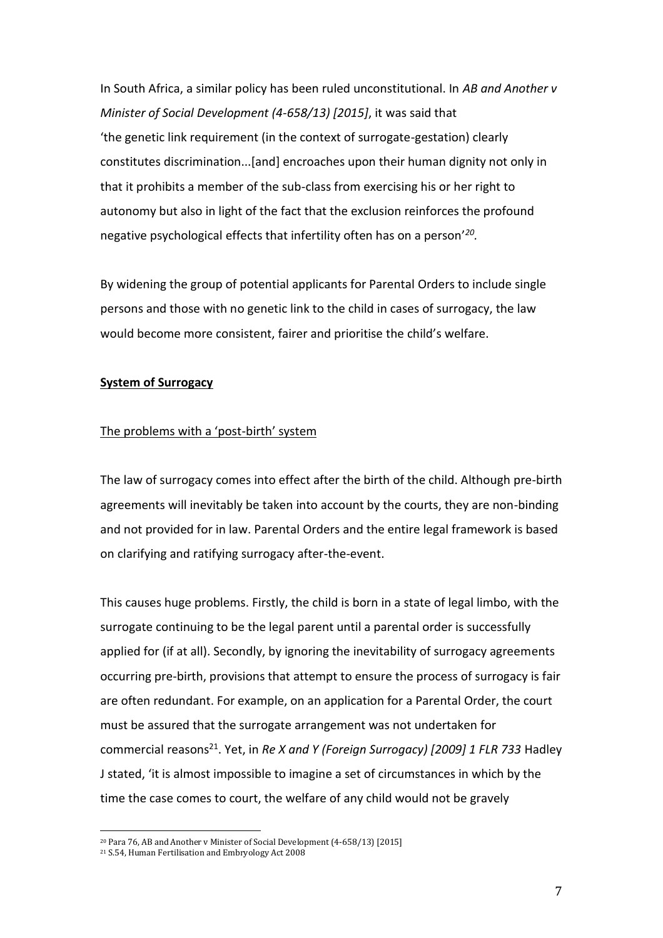In South Africa, a similar policy has been ruled unconstitutional. In *AB and Another v Minister of Social Development (4-658/13) [2015]*, it was said that 'the genetic link requirement (in the context of surrogate-gestation) clearly constitutes discrimination...[and] encroaches upon their human dignity not only in that it prohibits a member of the sub-class from exercising his or her right to autonomy but also in light of the fact that the exclusion reinforces the profound negative psychological effects that infertility often has on a person'*<sup>20</sup> .* 

By widening the group of potential applicants for Parental Orders to include single persons and those with no genetic link to the child in cases of surrogacy, the law would become more consistent, fairer and prioritise the child's welfare.

#### **System of Surrogacy**

#### The problems with a 'post-birth' system

The law of surrogacy comes into effect after the birth of the child. Although pre-birth agreements will inevitably be taken into account by the courts, they are non-binding and not provided for in law. Parental Orders and the entire legal framework is based on clarifying and ratifying surrogacy after-the-event.

This causes huge problems. Firstly, the child is born in a state of legal limbo, with the surrogate continuing to be the legal parent until a parental order is successfully applied for (if at all). Secondly, by ignoring the inevitability of surrogacy agreements occurring pre-birth, provisions that attempt to ensure the process of surrogacy is fair are often redundant. For example, on an application for a Parental Order, the court must be assured that the surrogate arrangement was not undertaken for commercial reasons<sup>21</sup>. Yet, in *Re X and Y (Foreign Surrogacy) [2009] 1 FLR 733* Hadley J stated, 'it is almost impossible to imagine a set of circumstances in which by the time the case comes to court, the welfare of any child would not be gravely

<sup>20</sup> Para 76, AB and Another v Minister of Social Development (4-658/13) [2015]

<sup>21</sup> S.54, Human Fertilisation and Embryology Act 2008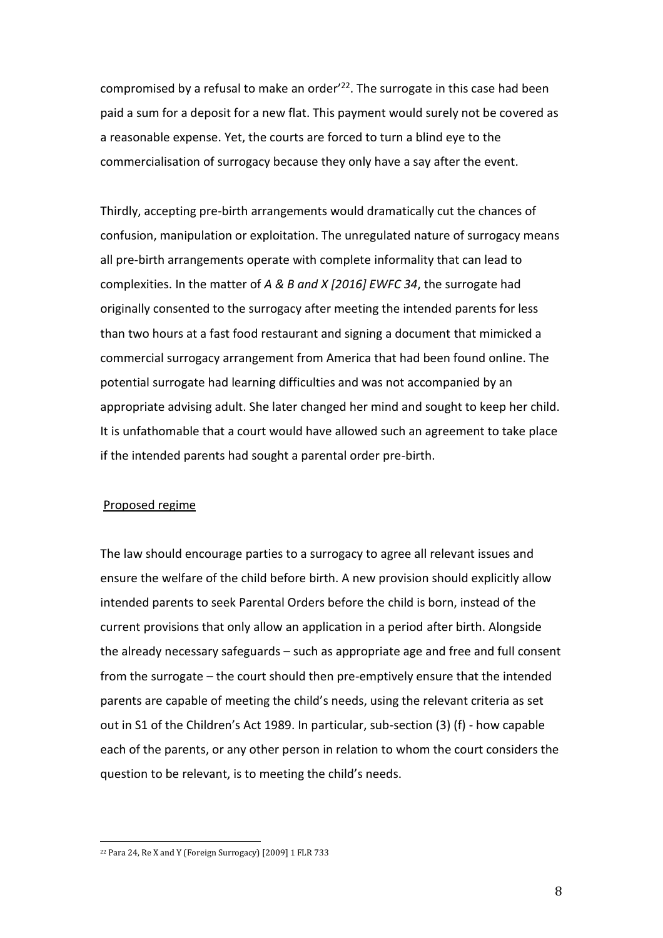compromised by a refusal to make an order<sup>'22</sup>. The surrogate in this case had been paid a sum for a deposit for a new flat. This payment would surely not be covered as a reasonable expense. Yet, the courts are forced to turn a blind eye to the commercialisation of surrogacy because they only have a say after the event.

Thirdly, accepting pre-birth arrangements would dramatically cut the chances of confusion, manipulation or exploitation. The unregulated nature of surrogacy means all pre-birth arrangements operate with complete informality that can lead to complexities. In the matter of *A & B and X [2016] EWFC 34*, the surrogate had originally consented to the surrogacy after meeting the intended parents for less than two hours at a fast food restaurant and signing a document that mimicked a commercial surrogacy arrangement from America that had been found online. The potential surrogate had learning difficulties and was not accompanied by an appropriate advising adult. She later changed her mind and sought to keep her child. It is unfathomable that a court would have allowed such an agreement to take place if the intended parents had sought a parental order pre-birth.

## Proposed regime

 $\overline{\phantom{a}}$ 

The law should encourage parties to a surrogacy to agree all relevant issues and ensure the welfare of the child before birth. A new provision should explicitly allow intended parents to seek Parental Orders before the child is born, instead of the current provisions that only allow an application in a period after birth. Alongside the already necessary safeguards – such as appropriate age and free and full consent from the surrogate – the court should then pre-emptively ensure that the intended parents are capable of meeting the child's needs, using the relevant criteria as set out in S1 of the Children's Act 1989. In particular, sub-section (3) (f) - how capable each of the parents, or any other person in relation to whom the court considers the question to be relevant, is to meeting the child's needs.

<sup>22</sup> Para 24, Re X and Y (Foreign Surrogacy) [2009] 1 FLR 733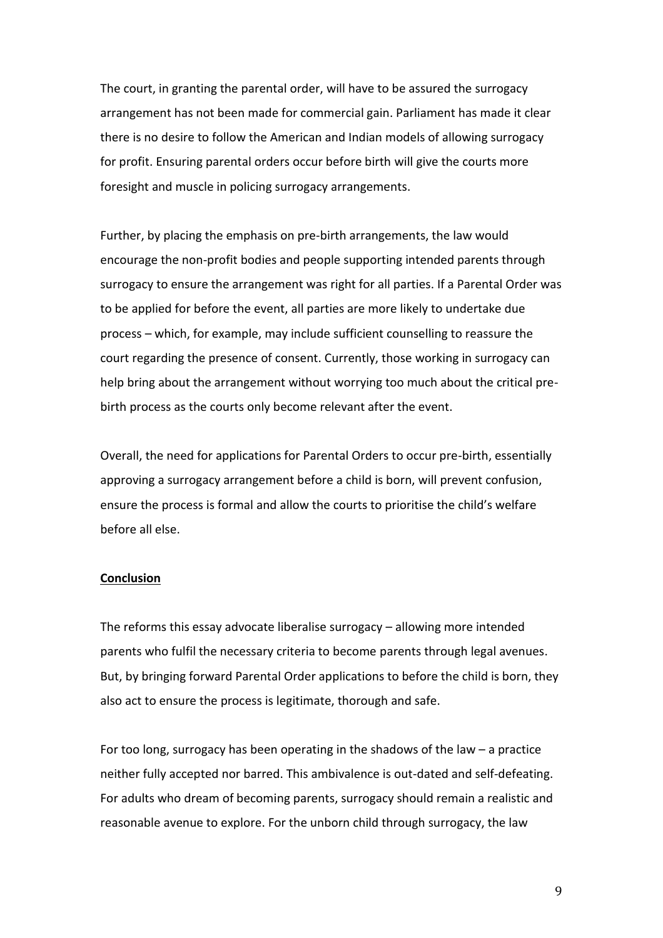The court, in granting the parental order, will have to be assured the surrogacy arrangement has not been made for commercial gain. Parliament has made it clear there is no desire to follow the American and Indian models of allowing surrogacy for profit. Ensuring parental orders occur before birth will give the courts more foresight and muscle in policing surrogacy arrangements.

Further, by placing the emphasis on pre-birth arrangements, the law would encourage the non-profit bodies and people supporting intended parents through surrogacy to ensure the arrangement was right for all parties. If a Parental Order was to be applied for before the event, all parties are more likely to undertake due process – which, for example, may include sufficient counselling to reassure the court regarding the presence of consent. Currently, those working in surrogacy can help bring about the arrangement without worrying too much about the critical prebirth process as the courts only become relevant after the event.

Overall, the need for applications for Parental Orders to occur pre-birth, essentially approving a surrogacy arrangement before a child is born, will prevent confusion, ensure the process is formal and allow the courts to prioritise the child's welfare before all else.

## **Conclusion**

The reforms this essay advocate liberalise surrogacy – allowing more intended parents who fulfil the necessary criteria to become parents through legal avenues. But, by bringing forward Parental Order applications to before the child is born, they also act to ensure the process is legitimate, thorough and safe.

For too long, surrogacy has been operating in the shadows of the law – a practice neither fully accepted nor barred. This ambivalence is out-dated and self-defeating. For adults who dream of becoming parents, surrogacy should remain a realistic and reasonable avenue to explore. For the unborn child through surrogacy, the law